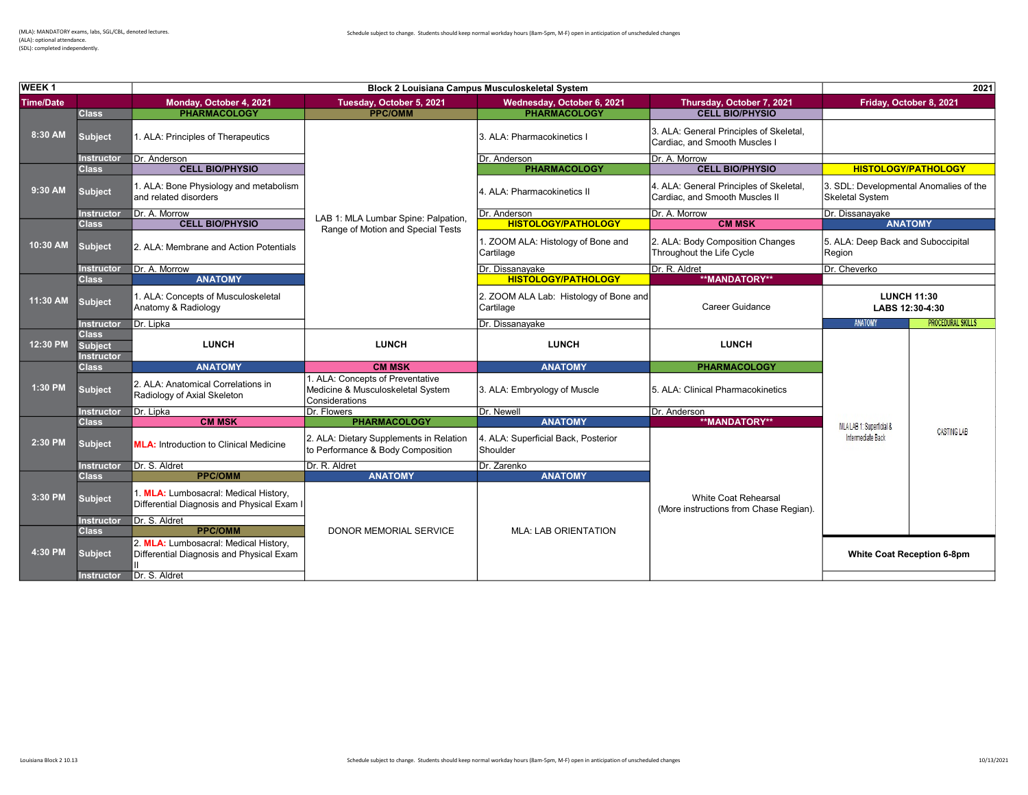| <b>WEEK1</b>     |                                                     | <b>Block 2 Louisiana Campus Musculoskeletal System</b>                              |                                                                                         |                                                     |                                                                           |                                                                  | 2021                                  |  |
|------------------|-----------------------------------------------------|-------------------------------------------------------------------------------------|-----------------------------------------------------------------------------------------|-----------------------------------------------------|---------------------------------------------------------------------------|------------------------------------------------------------------|---------------------------------------|--|
| <b>Time/Date</b> |                                                     | Monday, October 4, 2021                                                             | Tuesday, October 5, 2021                                                                | Wednesday, October 6, 2021                          | Thursday, October 7, 2021                                                 |                                                                  | Friday, October 8, 2021               |  |
|                  | <b>Class</b>                                        | <b>PHARMACOLOGY</b>                                                                 | <b>PPC/OMM</b>                                                                          | <b>PHARMACOLOGY</b>                                 | <b>CELL BIO/PHYSIO</b>                                                    |                                                                  |                                       |  |
| 8:30 AM          | <b>Subject</b>                                      | 1. ALA: Principles of Therapeutics                                                  |                                                                                         | 3. ALA: Pharmacokinetics I                          | 3. ALA: General Principles of Skeletal,<br>Cardiac, and Smooth Muscles I  |                                                                  |                                       |  |
|                  | Instructor                                          | Dr. Anderson                                                                        |                                                                                         | Dr. Anderson                                        | Dr. A. Morrow                                                             |                                                                  |                                       |  |
|                  | <b>Class</b>                                        | <b>CELL BIO/PHYSIO</b>                                                              |                                                                                         | <b>PHARMACOLOGY</b>                                 | <b>CELL BIO/PHYSIO</b>                                                    |                                                                  | <b>HISTOLOGY/PATHOLOGY</b>            |  |
| 9:30 AM          | <b>Subject</b>                                      | 1. ALA: Bone Physiology and metabolism<br>and related disorders                     |                                                                                         | 4. ALA: Pharmacokinetics II                         | 4. ALA: General Principles of Skeletal,<br>Cardiac, and Smooth Muscles II | 3. SDL: Developmental Anomalies of the<br><b>Skeletal System</b> |                                       |  |
|                  | <b>Instructor</b>                                   | Dr. A. Morrow                                                                       | LAB 1: MLA Lumbar Spine: Palpation,                                                     | Dr. Anderson                                        | Dr. A. Morrow                                                             | Dr. Dissanayake                                                  |                                       |  |
|                  | <b>Class</b>                                        | <b>CELL BIO/PHYSIO</b>                                                              | Range of Motion and Special Tests                                                       | <b>HISTOLOGY/PATHOLOGY</b>                          | <b>CM MSK</b>                                                             |                                                                  | <b>ANATOMY</b>                        |  |
| 10:30 AM         | <b>Subject</b>                                      | 2. ALA: Membrane and Action Potentials                                              |                                                                                         | 1. ZOOM ALA: Histology of Bone and<br>Cartilage     | 2. ALA: Body Composition Changes<br>Throughout the Life Cycle             | 5. ALA: Deep Back and Suboccipital<br>Region                     |                                       |  |
|                  | Instructor                                          | Dr. A. Morrow                                                                       |                                                                                         | Dr. Dissanayake                                     | Dr. R. Aldret                                                             | Dr. Cheverko                                                     |                                       |  |
|                  | <b>Class</b>                                        | <b>ANATOMY</b>                                                                      |                                                                                         | <b>HISTOLOGY/PATHOLOGY</b>                          | **MANDATORY**                                                             |                                                                  |                                       |  |
| 11:30 AM         | <b>Subject</b>                                      | 1. ALA: Concepts of Musculoskeletal<br>Anatomy & Radiology                          |                                                                                         | 2. ZOOM ALA Lab: Histology of Bone and<br>Cartilage | Career Guidance                                                           |                                                                  | <b>LUNCH 11:30</b><br>LABS 12:30-4:30 |  |
|                  | <b>Instructor</b>                                   | Dr. Lipka                                                                           |                                                                                         | Dr. Dissanayake                                     |                                                                           | <b>ANATOMY</b>                                                   | <b>PROCEDURAL SKILLS</b>              |  |
| 12:30 PM         | <b>Class</b><br><b>Subject</b><br><b>Instructor</b> | <b>LUNCH</b>                                                                        | <b>LUNCH</b>                                                                            | <b>LUNCH</b>                                        | <b>LUNCH</b>                                                              |                                                                  |                                       |  |
|                  | <b>Class</b>                                        | <b>ANATOMY</b>                                                                      | <b>CM MSK</b>                                                                           | <b>ANATOMY</b>                                      | <b>PHARMACOLOGY</b>                                                       |                                                                  |                                       |  |
| 1:30 PM          | <b>Subject</b>                                      | 2. ALA: Anatomical Correlations in<br>Radiology of Axial Skeleton                   | I. ALA: Concepts of Preventative<br>Medicine & Musculoskeletal System<br>Considerations | 3. ALA: Embryology of Muscle                        | 5. ALA: Clinical Pharmacokinetics                                         |                                                                  |                                       |  |
|                  | <b>Instructor</b>                                   | Dr. Lipka                                                                           | Dr. Flowers                                                                             | Dr. Newell                                          | Dr. Anderson                                                              |                                                                  |                                       |  |
|                  | <b>Class</b>                                        | <b>CM MSK</b>                                                                       | <b>PHARMACOLOGY</b>                                                                     | <b>ANATOMY</b>                                      | **MANDATORY**                                                             | MLA LAB 1: Superficial &                                         |                                       |  |
| 2:30 PM          | <b>Subject</b>                                      | <b>MLA:</b> Introduction to Clinical Medicine                                       | 2. ALA: Dietary Supplements in Relation<br>to Performance & Body Composition            | 4. ALA: Superficial Back, Posterior<br>Shoulder     |                                                                           | Intermediate Back                                                | <b>CASTING LAB</b>                    |  |
|                  | <b>Instructor</b>                                   | Dr. S. Aldret                                                                       | Dr. R. Aldret                                                                           | Dr. Zarenko                                         |                                                                           |                                                                  |                                       |  |
|                  | <b>Class</b>                                        | <b>PPC/OMM</b>                                                                      | <b>ANATOMY</b>                                                                          | <b>ANATOMY</b>                                      |                                                                           |                                                                  |                                       |  |
| 3:30 PM          | <b>Subject</b>                                      | 1. MLA: Lumbosacral: Medical History.<br>Differential Diagnosis and Physical Exam I |                                                                                         |                                                     | White Coat Rehearsal<br>(More instructions from Chase Regian).            |                                                                  |                                       |  |
|                  | <b>Instructor</b>                                   | Dr. S. Aldret                                                                       |                                                                                         |                                                     |                                                                           |                                                                  |                                       |  |
|                  | <b>Class</b>                                        | <b>PPC/OMM</b>                                                                      | <b>DONOR MEMORIAL SERVICE</b>                                                           | <b>MLA: LAB ORIENTATION</b>                         |                                                                           |                                                                  |                                       |  |
| 4:30 PM          | <b>Subject</b>                                      | 2. MLA: Lumbosacral: Medical History.<br>Differential Diagnosis and Physical Exam   |                                                                                         |                                                     |                                                                           |                                                                  | White Coat Reception 6-8pm            |  |
|                  |                                                     | Dr. S. Aldret                                                                       |                                                                                         |                                                     |                                                                           |                                                                  |                                       |  |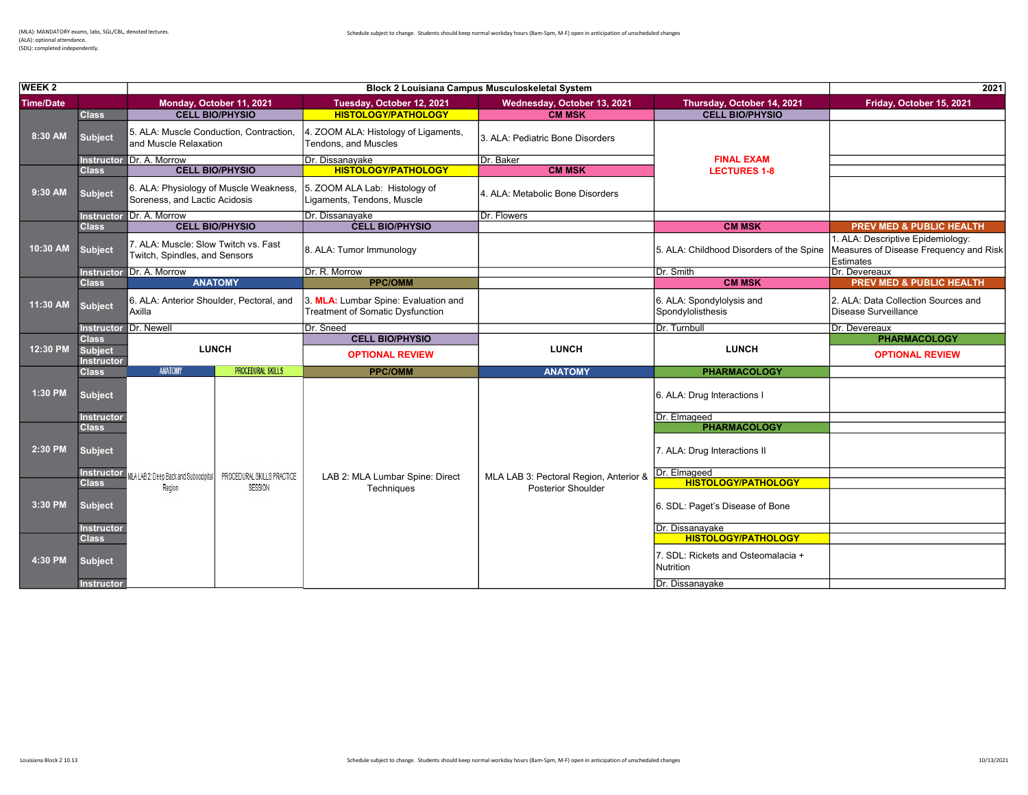2021 Time/Date Monday, October 11, 2021 Tuesday, October 12, 2021 Wednesday, October 13, 2021 Thursday, October 14, 2021 Friday, October 15, 2021<br>Class CELL BIO/PHYSIO HISTOLOGY/PATHOLOGY CMMSK CMMSK CELL BIO/PHYSIO **HISTOLOGY/PATHOLOGY** Subject 5. ALA: Muscle Conduction, Contraction, and Muscle Relaxation 4. ZOOM ALA: Histology of Ligaments, 4. ZOOM ALA. Histology of Ligaments, 2. ALA: Pediatric Bone Disorders<br>Tendons, and Muscles Instructor Dr. A. Morrow **Dr. Dissanayake** Dr. Dissanayake Dr. Baker Dr. Baker Class CELL BIO/PHYSIO HISTOLOGY/PATHOLOGY CM MSK Subject 6. ALA: Physiology of Muscle Weakness, Soreness, and Lactic Acidosis 5. ZOOM ALA Lab: Histology of J. 200M ALA Lab. Tilstology of [4. ALA: Metabolic Bone Disorders]<br>Ligaments, Tendons, Muscle Instructor Dr. A. Morrow Dr. Dissanayake Dr. Dissanayake Dr. Flowers Dr. Flowers Class CM MSK **CELL BIO/PREV MED & PUBLIC HEALTH** Subject 7. ALA: Muscle: Slow Twitch vs. Fast<br>Twitch, Spindles, and Sensors 8. ALA: Tumor Immunology **5. ALA: Childhood Disorders of the Spine** 1. ALA: Descriptive Epidemiology: Measures of Disease Frequency and Risk Estimates<br>Dr. Devereaux Instructor Dr. A. Morrow Dr. R. Morrow Dr. R. Morrow Dr. R. Morrow Dr. Smith Dr. Smith CM MSK Class **ANATOMY COMM CONTROL** CLASS COMMENT COMMISSION COMMISSION COMMISSION COMMISSION COMMISSION PREV MED & PUBLIC HEALTH Subject 6. ALA: Anterior Shoulder, Pectoral, and Axilla 3. MLA: Lumbar Spine: Evaluation and Treatment of Somatic Dysfunction 6. ALA: Spondylolysis and Spondylolisthesis 2. ALA: Data Collection Sources and Disease Surveillance Instructor Dr. Newell **Dr. Devereaux** Dr. Sneed **Dr. Devereaux** Dr. Sneed **Dr. Devereaux** Dr. Devereaux **CELL BIO/PHYSIO PHARMACOLOGY Subject Instructor**<br>Class Class ANATOMY PROCEDURAL SKILLS PROCEDURAL SKILLS PROCEDURAL SKILLS PROCEDURAL SKILLS PROCEDURAL SKILLS PROCEDU Subject 6. ALA: Drug Interactions I Instructor Dr. Elmageed Class **PHARMACOLOGY** Subject 7. ALA: Drug Interactions II Instructor MLALAB 2: Deep Back and Suboccipital PROCEDURAL SKILLS PRACTICE LAB 2: MLA Lumbar Spine: Direct MLA LAB 3: Pectoral Region, Anterior & Dr. Elmageed Class Region Region Region Section of the State of the State of the State of the State of the State of the State of the Class Region Anterior & **The HISTOLOGY/PATHOLOGY**<br>Region SESSION Techniques Posterior Shoulder Subject 6. SDL: Paget's Disease of Bone Instructor Dr. Dissanayake **Dr. Dissanayake** Dr. Dissanayake Dr. Dissanayake Dr. Dissanayake Dr. Dissanayake Dr. Dissanayake Dr. Dissanayake Dr. Dissanayake Dr. Dissanayake Dr. Dissanayake Dr. Dissanayake Dr. Dissanayake D Class HISTOLOGY/PATHOLOGY Subject 7. SDL: Rickets and Osteomalacia + **Nutrition** MLA LAB 3: Pectoral Region, Anterior & Posterior Shoulder LAB 2: MLA Lumbar Spine: Direct **Techniques** WEEK 2 **Block 2 Louisiana Campus Musculoskeletal System** 8:30 AM 9:30 AM 10:30 AM LUNCH OPTIONAL REVIEW 4:30 PM 12:30 PM FINAL EXAM LECTURES 1-8 OPTIONAL REVIEW LUNCH Region 11:30 AM 2:30 PM 3:30 PM 1:30 PM LUNCH

Instructor Dr. Dissanayake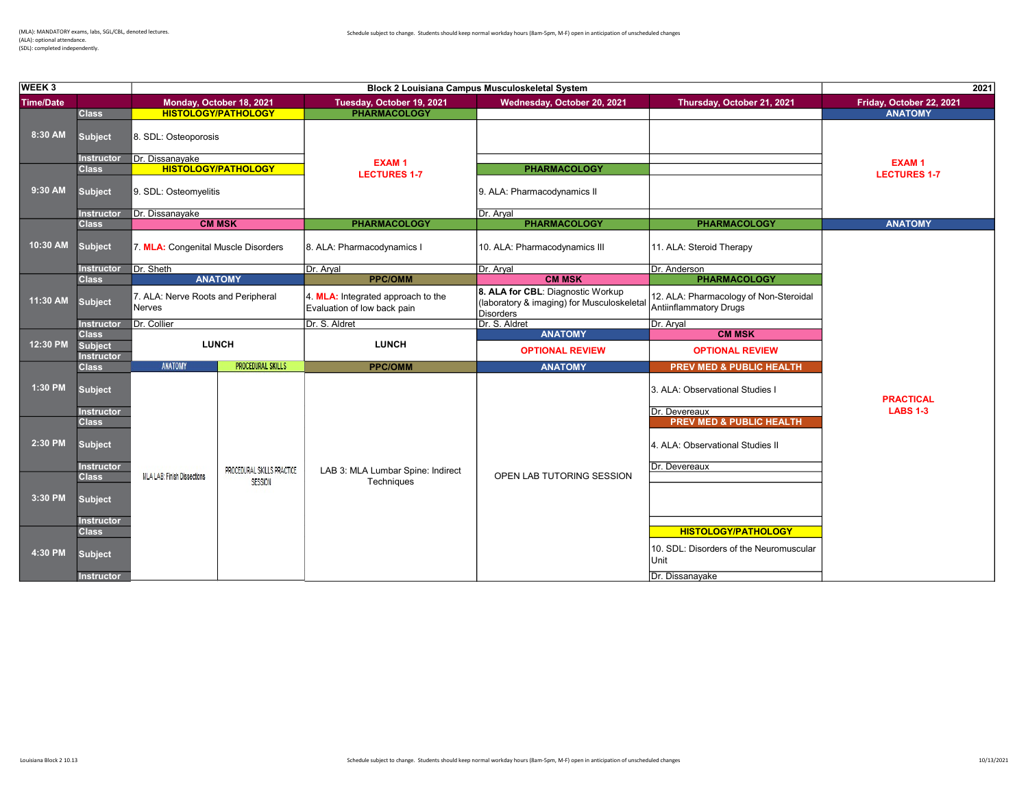| <b>WEEK3</b>     | Block 2 Louisiana Campus Musculoskeletal System |                                                     |                            | 2021                                                              |                                                                                              |                                                                                                   |                                     |  |
|------------------|-------------------------------------------------|-----------------------------------------------------|----------------------------|-------------------------------------------------------------------|----------------------------------------------------------------------------------------------|---------------------------------------------------------------------------------------------------|-------------------------------------|--|
| <b>Time/Date</b> |                                                 |                                                     | Monday, October 18, 2021   | Tuesday, October 19, 2021                                         | Wednesday, October 20, 2021                                                                  | Thursday, October 21, 2021                                                                        | Friday, October 22, 2021            |  |
|                  | Class                                           |                                                     | <b>HISTOLOGY/PATHOLOGY</b> | <b>PHARMACOLOGY</b>                                               |                                                                                              |                                                                                                   | <b>ANATOMY</b>                      |  |
| 8:30 AM          | <b>Subject</b>                                  | 8. SDL: Osteoporosis                                |                            |                                                                   |                                                                                              |                                                                                                   |                                     |  |
|                  | <b>Instructor</b>                               | Dr. Dissanayake                                     |                            | <b>EXAM1</b>                                                      |                                                                                              |                                                                                                   | <b>EXAM1</b>                        |  |
|                  | <b>Class</b>                                    | <b>HISTOLOGY/PATHOLOGY</b><br>9. SDL: Osteomyelitis |                            | <b>LECTURES 1-7</b>                                               | <b>PHARMACOLOGY</b>                                                                          |                                                                                                   | <b>LECTURES 1-7</b>                 |  |
| 9:30 AM          | <b>Subject</b>                                  |                                                     |                            |                                                                   | 9. ALA: Pharmacodynamics II                                                                  |                                                                                                   |                                     |  |
|                  | <b>Instructor</b>                               | Dr. Dissanayake                                     |                            |                                                                   | Dr. Aryal                                                                                    |                                                                                                   |                                     |  |
|                  | <b>Class</b>                                    |                                                     | <b>CM MSK</b>              | <b>PHARMACOLOGY</b>                                               | <b>PHARMACOLOGY</b>                                                                          | <b>PHARMACOLOGY</b>                                                                               | <b>ANATOMY</b>                      |  |
| 10:30 AM         | <b>Subject</b>                                  | 7. MLA: Congenital Muscle Disorders                 |                            | 8. ALA: Pharmacodynamics I                                        | 10. ALA: Pharmacodynamics III                                                                | 11. ALA: Steroid Therapy                                                                          |                                     |  |
|                  | <b>Instructor</b>                               | Dr. Sheth                                           |                            | Dr. Aryal                                                         | Dr. Aryal                                                                                    | Dr. Anderson                                                                                      |                                     |  |
|                  | <b>Class</b>                                    | <b>ANATOMY</b>                                      |                            | <b>PPC/OMM</b>                                                    | <b>CM MSK</b>                                                                                | <b>PHARMACOLOGY</b>                                                                               |                                     |  |
| 11:30 AM         | <b>Subject</b>                                  | 7. ALA: Nerve Roots and Peripheral<br><b>Nerves</b> |                            | 4. MLA: Integrated approach to the<br>Evaluation of low back pain | 8. ALA for CBL: Diagnostic Workup<br>(laboratory & imaging) for Musculoskeletal<br>Disorders | 12. ALA: Pharmacology of Non-Steroidal<br><b>Antiinflammatory Drugs</b>                           |                                     |  |
|                  | <b>Instructor</b>                               | Dr. Collier                                         |                            | Dr. S. Aldret                                                     | Dr. S. Aldret                                                                                | Dr. Aryal                                                                                         |                                     |  |
|                  | <b>Class</b>                                    |                                                     |                            |                                                                   | <b>ANATOMY</b>                                                                               | <b>CM MSK</b>                                                                                     |                                     |  |
| 12:30 PM         | <b>Subject</b><br><b>Instructor</b>             | <b>LUNCH</b>                                        |                            | <b>LUNCH</b>                                                      | <b>OPTIONAL REVIEW</b>                                                                       | <b>OPTIONAL REVIEW</b>                                                                            |                                     |  |
|                  | <b>Class</b>                                    | <b>ANATOMY</b>                                      | <b>PROCEDURAL SKILLS</b>   | <b>PPC/OMM</b>                                                    | <b>ANATOMY</b>                                                                               | <b>PREV MED &amp; PUBLIC HEALTH</b>                                                               |                                     |  |
| 1:30 PM          | <b>Subject</b>                                  |                                                     |                            |                                                                   |                                                                                              | 3. ALA: Observational Studies I<br>Dr. Devereaux                                                  | <b>PRACTICAL</b><br><b>LABS 1-3</b> |  |
|                  | <b>Instructor</b><br><b>Class</b>               |                                                     |                            |                                                                   |                                                                                              | <b>PREV MED &amp; PUBLIC HEALTH</b>                                                               |                                     |  |
| 2:30 PM          | <b>Subject</b><br><b>Instructor</b>             |                                                     | PROCEDURAL SKILLS PRACTICE | LAB 3: MLA Lumbar Spine: Indirect                                 |                                                                                              | 4. ALA: Observational Studies II<br>Dr. Devereaux                                                 |                                     |  |
|                  | <b>Class</b>                                    | <b>MLA LAB: Finish Dissections</b>                  | <b>SESSION</b>             | Techniques                                                        | OPEN LAB TUTORING SESSION                                                                    |                                                                                                   |                                     |  |
| 3:30 PM          | <b>Subject</b>                                  |                                                     |                            |                                                                   |                                                                                              |                                                                                                   |                                     |  |
|                  | <b>Instructor</b><br><b>Class</b>               |                                                     |                            |                                                                   |                                                                                              |                                                                                                   |                                     |  |
| 4:30 PM          | <b>Subject</b><br><b>Instructor</b>             |                                                     |                            |                                                                   |                                                                                              | <b>HISTOLOGY/PATHOLOGY</b><br>10. SDL: Disorders of the Neuromuscular<br>lUnit<br>Dr. Dissanayake |                                     |  |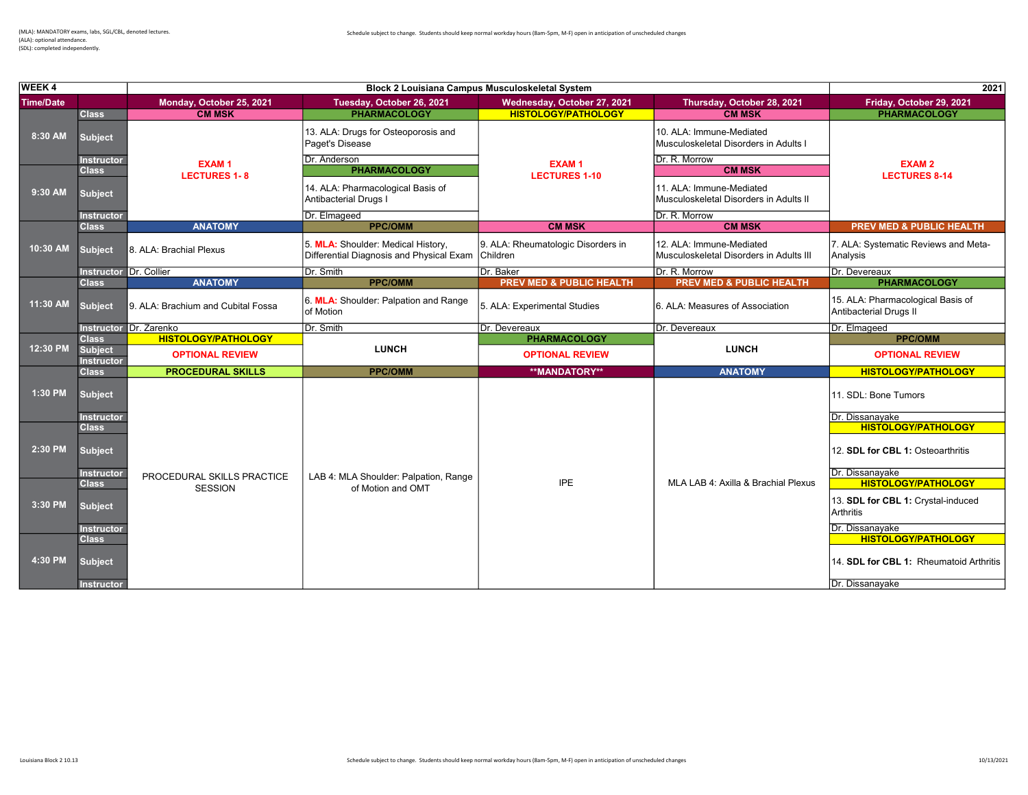| WEEK 4           |                                     |                                                            | 2021                                                                                    |                                                                    |                                                                     |                                                                    |
|------------------|-------------------------------------|------------------------------------------------------------|-----------------------------------------------------------------------------------------|--------------------------------------------------------------------|---------------------------------------------------------------------|--------------------------------------------------------------------|
| <b>Time/Date</b> |                                     | Monday, October 25, 2021                                   | Tuesday, October 26, 2021                                                               | Wednesday, October 27, 2021                                        | Thursday, October 28, 2021                                          | Friday, October 29, 2021                                           |
|                  | <b>Class</b>                        | <b>CM MSK</b>                                              | <b>PHARMACOLOGY</b>                                                                     | <b>HISTOLOGY/PATHOLOGY</b>                                         | <b>CM MSK</b>                                                       | <b>PHARMACOLOGY</b>                                                |
| 8:30 AM          | <b>Subject</b>                      |                                                            | 13. ALA: Drugs for Osteoporosis and<br>Paget's Disease                                  |                                                                    | 10. ALA: Immune-Mediated<br>Musculoskeletal Disorders in Adults I   |                                                                    |
|                  | <b>Instructor</b>                   | <b>EXAM1</b>                                               | Dr. Anderson                                                                            | <b>EXAM1</b>                                                       | Dr. R. Morrow                                                       | <b>EXAM2</b>                                                       |
|                  | Class                               | <b>LECTURES 1-8</b>                                        | <b>PHARMACOLOGY</b>                                                                     | <b>LECTURES 1-10</b>                                               | <b>CM MSK</b>                                                       | <b>LECTURES 8-14</b>                                               |
| 9:30 AM          | <b>Subject</b>                      | 14. ALA: Pharmacological Basis of<br>Antibacterial Drugs I |                                                                                         | 11. ALA: Immune-Mediated<br>Musculoskeletal Disorders in Adults II |                                                                     |                                                                    |
|                  | <b>Instructor</b>                   |                                                            | Dr. Elmageed                                                                            |                                                                    | Dr. R. Morrow                                                       |                                                                    |
|                  | <b>Class</b>                        | <b>ANATOMY</b>                                             | <b>PPC/OMM</b>                                                                          | <b>CM MSK</b>                                                      | <b>CM MSK</b>                                                       | <b>PREV MED &amp; PUBLIC HEALTH</b>                                |
| 10:30 AM         | <b>Subject</b>                      | 8. ALA: Brachial Plexus                                    | 5. MLA: Shoulder: Medical History.<br>Differential Diagnosis and Physical Exam Children | 9. ALA: Rheumatologic Disorders in                                 | 12. ALA: Immune-Mediated<br>Musculoskeletal Disorders in Adults III | 7. ALA: Systematic Reviews and Meta-<br>Analysis                   |
|                  | <b>Instructor Dr. Collier</b>       |                                                            | Dr. Smith                                                                               | Dr. Baker                                                          | Dr. R. Morrow                                                       | Dr. Devereaux                                                      |
| 11:30 AM         | <b>Class</b>                        | <b>ANATOMY</b>                                             | <b>PPC/OMM</b>                                                                          | <b>PREV MED &amp; PUBLIC HEALTH</b>                                | <b>PREV MED &amp; PUBLIC HEALTH</b>                                 | <b>PHARMACOLOGY</b>                                                |
|                  | <b>Subject</b>                      | 9. ALA: Brachium and Cubital Fossa                         | 6. MLA: Shoulder: Palpation and Range<br>of Motion                                      | 5. ALA: Experimental Studies                                       | 6. ALA: Measures of Association                                     | 15. ALA: Pharmacological Basis of<br>Antibacterial Drugs II        |
|                  |                                     | Instructor Dr. Zarenko                                     | Dr. Smith                                                                               | Dr. Devereaux                                                      | Dr. Devereaux                                                       | Dr. Elmageed                                                       |
|                  | <b>Class</b>                        | <b>HISTOLOGY/PATHOLOGY</b>                                 |                                                                                         | <b>PHARMACOLOGY</b>                                                |                                                                     | <b>PPC/OMM</b>                                                     |
| 12:30 PM         | <b>Subject</b><br><b>Instructor</b> | <b>OPTIONAL REVIEW</b>                                     | <b>LUNCH</b>                                                                            | <b>OPTIONAL REVIEW</b>                                             | <b>LUNCH</b>                                                        | <b>OPTIONAL REVIEW</b>                                             |
|                  | <b>Class</b>                        | <b>PROCEDURAL SKILLS</b>                                   | <b>PPC/OMM</b>                                                                          | **MANDATORY**                                                      | <b>ANATOMY</b>                                                      | <b>HISTOLOGY/PATHOLOGY</b>                                         |
| 1:30 PM          | <b>Subject</b>                      |                                                            |                                                                                         |                                                                    |                                                                     | 11. SDL: Bone Tumors                                               |
|                  | <b>Instructor</b><br><b>Class</b>   |                                                            |                                                                                         |                                                                    |                                                                     | Dr. Dissanayake<br><b>HISTOLOGY/PATHOLOGY</b>                      |
| 2:30 PM          | <b>Subject</b>                      |                                                            |                                                                                         |                                                                    |                                                                     | 12. SDL for CBL 1: Osteoarthritis                                  |
|                  | <b>Instructor</b><br><b>Class</b>   | PROCEDURAL SKILLS PRACTICE                                 | LAB 4: MLA Shoulder: Palpation, Range                                                   | <b>IPE</b>                                                         | MLA LAB 4: Axilla & Brachial Plexus                                 | Dr. Dissanavake<br><b>HISTOLOGY/PATHOLOGY</b>                      |
| 3:30 PM          | <b>Subject</b><br>Instructor        | <b>SESSION</b>                                             | of Motion and OMT                                                                       |                                                                    |                                                                     | 13. SDL for CBL 1: Crystal-induced<br>Arthritis<br>Dr. Dissanayake |
|                  | <b>Class</b>                        |                                                            |                                                                                         |                                                                    |                                                                     | <b>HISTOLOGY/PATHOLOGY</b>                                         |
| 4:30 PM          | <b>Subject</b>                      |                                                            |                                                                                         |                                                                    |                                                                     | 14. SDL for CBL 1: Rheumatoid Arthritis                            |

Instructor Dr. Dissanayake in the control of the control of the control of the control of the control of the control of the control of the control of the control of the control of the control of the control of the control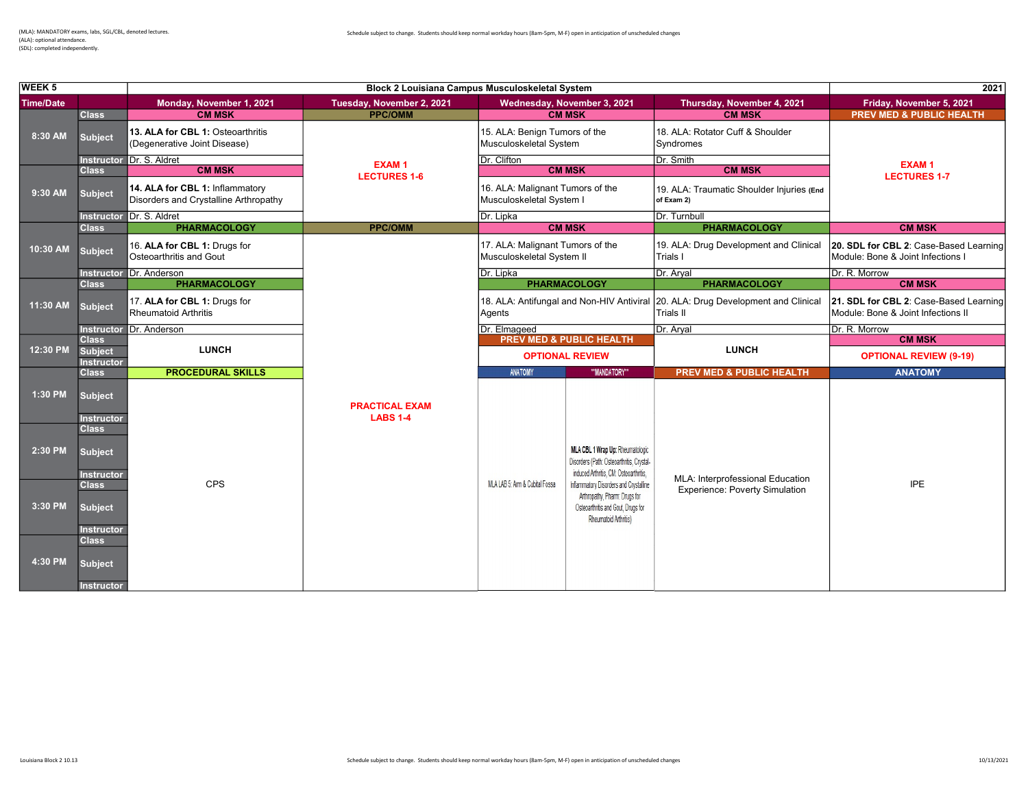(ALA): optional attendance. (SDL): completed independently.

| WEEK <sub>5</sub> |                                                     |                                                                          | 2021                                     |                                                               |                                                                                                                                        |                                                                                                      |                                                                              |
|-------------------|-----------------------------------------------------|--------------------------------------------------------------------------|------------------------------------------|---------------------------------------------------------------|----------------------------------------------------------------------------------------------------------------------------------------|------------------------------------------------------------------------------------------------------|------------------------------------------------------------------------------|
| <b>Time/Date</b>  |                                                     | Monday, November 1, 2021                                                 | Tuesday, November 2, 2021                |                                                               | Wednesday, November 3, 2021                                                                                                            | Thursday, November 4, 2021                                                                           | Friday, November 5, 2021                                                     |
|                   | <b>Class</b>                                        | <b>CM MSK</b>                                                            | <b>PPC/OMM</b>                           |                                                               | <b>CM MSK</b>                                                                                                                          | <b>CM MSK</b>                                                                                        | <b>PREV MED &amp; PUBLIC HEALTH</b>                                          |
| 8:30 AM           | <b>Subject</b>                                      | 13. ALA for CBL 1: Osteoarthritis<br>(Degenerative Joint Disease)        |                                          | 15. ALA: Benign Tumors of the<br>Musculoskeletal System       |                                                                                                                                        | 18. ALA: Rotator Cuff & Shoulder<br>Syndromes                                                        |                                                                              |
|                   |                                                     | Instructor Dr. S. Aldret                                                 | <b>EXAM1</b>                             | Dr. Clifton                                                   |                                                                                                                                        | Dr. Smith                                                                                            | <b>EXAM1</b>                                                                 |
|                   | <b>Class</b>                                        | <b>CM MSK</b>                                                            | <b>LECTURES 1-6</b>                      |                                                               | <b>CM MSK</b>                                                                                                                          | <b>CM MSK</b>                                                                                        | <b>LECTURES 1-7</b>                                                          |
| 9:30 AM           | <b>Subject</b>                                      | 14. ALA for CBL 1: Inflammatory<br>Disorders and Crystalline Arthropathy |                                          | 16. ALA: Malignant Tumors of the<br>Musculoskeletal System I  |                                                                                                                                        | 19. ALA: Traumatic Shoulder Injuries (End<br>of Exam 2)                                              |                                                                              |
|                   |                                                     | Instructor Dr. S. Aldret                                                 |                                          | Dr. Lipka                                                     |                                                                                                                                        | Dr. Turnbull                                                                                         |                                                                              |
|                   | <b>Class</b>                                        | <b>PHARMACOLOGY</b>                                                      | <b>PPC/OMM</b>                           |                                                               | <b>CM MSK</b>                                                                                                                          | <b>PHARMACOLOGY</b>                                                                                  | <b>CM MSK</b>                                                                |
| 10:30 AM          | <b>Subject</b>                                      | 16. ALA for CBL 1: Drugs for<br>Osteoarthritis and Gout                  |                                          | 17. ALA: Malignant Tumors of the<br>Musculoskeletal System II |                                                                                                                                        | 19. ALA: Drug Development and Clinical<br>Trials I                                                   | 20. SDL for CBL 2: Case-Based Learning<br>Module: Bone & Joint Infections I  |
|                   |                                                     | Instructor Dr. Anderson                                                  |                                          | Dr. Lipka                                                     |                                                                                                                                        | Dr. Aryal                                                                                            | Dr. R. Morrow                                                                |
|                   | <b>Class</b>                                        | <b>PHARMACOLOGY</b>                                                      |                                          |                                                               | <b>PHARMACOLOGY</b>                                                                                                                    | <b>PHARMACOLOGY</b>                                                                                  | <b>CM MSK</b>                                                                |
| 11:30 AM          | <b>Subject</b>                                      | 17. ALA for CBL 1: Drugs for<br><b>Rheumatoid Arthritis</b>              |                                          | Agents                                                        |                                                                                                                                        | 18. ALA: Antifungal and Non-HIV Antiviral 20. ALA: Drug Development and Clinical<br><b>Trials II</b> | 21. SDL for CBL 2: Case-Based Learning<br>Module: Bone & Joint Infections II |
|                   |                                                     | Instructor Dr. Anderson                                                  |                                          | Dr. Elmageed                                                  |                                                                                                                                        | Dr. Aryal                                                                                            | Dr. R. Morrow                                                                |
|                   | <b>Class</b>                                        |                                                                          |                                          | <b>PREV MED &amp; PUBLIC HEALTH</b><br><b>OPTIONAL REVIEW</b> |                                                                                                                                        |                                                                                                      | <b>CM MSK</b>                                                                |
| 12:30 PM          | <b>Subject</b><br><b>Instructor</b>                 | <b>LUNCH</b>                                                             |                                          |                                                               |                                                                                                                                        | <b>LUNCH</b>                                                                                         | <b>OPTIONAL REVIEW (9-19)</b>                                                |
|                   | <b>Class</b>                                        | <b>PROCEDURAL SKILLS</b>                                                 |                                          | <b>ANATOMY</b>                                                | ** MANDATORY**                                                                                                                         | <b>PREV MED &amp; PUBLIC HEALTH</b>                                                                  | <b>ANATOMY</b>                                                               |
| 1:30 PM           | <b>Subject</b><br><b>Instructor</b>                 |                                                                          | <b>PRACTICAL EXAM</b><br><b>LABS 1-4</b> |                                                               |                                                                                                                                        |                                                                                                      |                                                                              |
| 2:30 PM           | Class<br><b>Subject</b><br><b>Instructor</b>        |                                                                          |                                          |                                                               | MLA CBL 1 Wrap Up: Rheumatologic<br>Disorders (Path: Osteoarthritis, Crystal-<br>induced Arthritis, CM: Osteoarthritis,                | MLA: Interprofessional Education                                                                     |                                                                              |
| 3:30 PM           | <b>Class</b><br><b>Subject</b><br><b>Instructor</b> | <b>CPS</b>                                                               |                                          | MLA LAB 5: Arm & Cubital Fossa                                | Inflammatory Disorders and Crystalline<br>Arthropathy, Pharm: Drugs for<br>Osteoarthritis and Gout. Drugs for<br>Rheumatoid Arthritis) | <b>Experience: Poverty Simulation</b>                                                                | IPE                                                                          |
| 4:30 PM           | <b>Class</b><br><b>Subject</b><br><b>Instructor</b> |                                                                          |                                          |                                                               |                                                                                                                                        |                                                                                                      |                                                                              |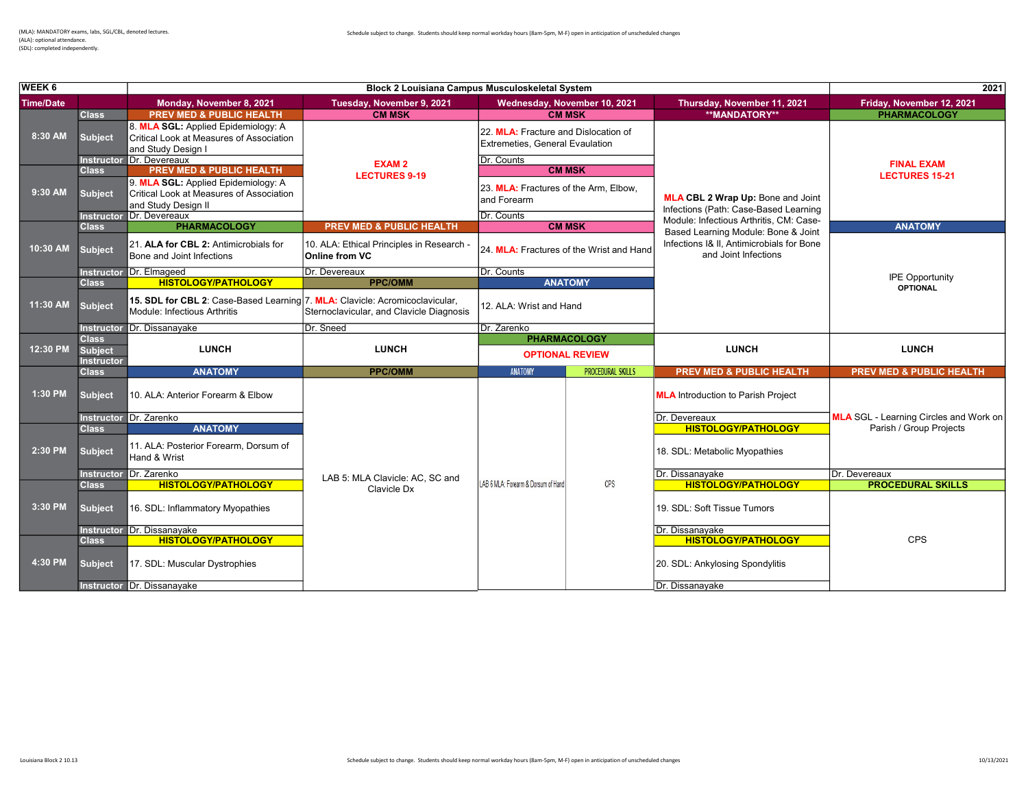2021 Time/Date Monday, November 8, 2021 Tuesday, November 9, 2021 Wednesday, November 10, 2021 Thursday, November 11, 2021 Friday, November 12, 2021 **PREV MED & PUBLIC HEALTH** Subject 8. MLA SGL: Applied Epidemiology: A Critical Look at Measures of Association and Study Design I 22. MLA: Fracture and Dislocation of Extremeties, General Evaulation Instructor Dr. Devereaux **Dr. Counts** Class PREV MED & PUBLIC HEALTH CALLEGATION CONTRACT COMMISK Subject 9. MLA SGL: Applied Epidemiology: A Critical Look at Measures of Association and Study Design II 23. MLA: Fractures of the Arm, Elbow, and Forearm Instructor Dr. Devereaux **Dr. Counts Control Control Control Control Control Control Control Control Control Control Control Control Control Control Control Control Control Control Control Control Control Control Control C PREV MED & PUBLIC HEALTH CM MSK COLOGY PREV MEDICINE ANATOMY** Subject 21. ALA for CBL 2: Antimicrobials for Bone and Joint Infections 10. ALA: Ethical Principles in Research -<br>Online from VC  $\sqrt{24}$  MLA: Fractures of the Wrist and Hand Instructor Dr. Elmageed Dr. Devereaux Dr. Devereaux Dr. Counts Class **HISTOLOGY/PATHOLOGY PROGRAM PPC/OMM** ANATOMY Subject **15. SDL for CBL 2:** Case-Based Learning 7. MLA: Clavicle: Acromicoclavicular,<br>Characteristics and Clavislate Diamaze Module: Infectious Arthritis **Sternoclavicular, and Clavicle Diagnosis 12. ALA: Wrist and Hand Sternoclavicular, and Clavicle Diagnosis** Instructor Dr. Dissanayake Dr. Sneed Dr. Zarenko Class Class Class Class Class Class Class Class Class Class Class Class Class Class Class Class Class Class Cla<br>Subject Class Class Class Class Class Class Class Class Class Class Class Class Class Class Class Class Class **Subject Instructor**<br>Class ANATOMY **EXAMPLE ANATOMY** PPC/OMM ANATOMY ANATOMY **PROCEDURAL SKILLS PREV MED & PUBLIC HEALTH** PREV MED & PUBLIC HEALTH Subject 10. ALA: Anterior Forearm & Elbow MLA Introduction to Parish Project in the MLA Introduction to Parish Project Instructor <mark>Dr. Zarenko ANATOMY (Dr. Devereaux ANATOMY )</mark> and the state of the state of the state of the state of the state of the state of the state of the state of the state of the state of the state of the state of the Class ANATOMY AND ANATOMY AND A RESERVE A SERVER AND A RESERVE A SERVER AND A RESERVE A SERVER AND A RESERVE A Subject 11. ALA: Posterior Forearm, Dorsum of 18. SDL: Metabolic Myopathies Instructor Dr. Zarenko Dr. Devereaux<br>Class **Dr. Dissanayake Dr. Devereaux Dr. Devereaux**<br>Class **HISTOLOGY/PATHOLOGY PROC** Class **HISTOLOGY/PATHOLOGY** LAB 5: MLA Univide P.C., SC and UAB 6MLA: Foream & Dissum of Hand CPS **HISTOLOGY/PATHOLOGY PROCEDURAL SKILLS** Subject 16. SDL: Inflammatory Myopathies 19. Soft Tissue Tumors 19. SDL: Soft Tissue Tumors Instructor <mark>Dr. Dissanayake Dr. Dissanayake Dr. Dissanayake Dr. Dissanayake Dr. Dissanayake Dr. Dissanayake Dr<br>Class Dr. Dissanayake Dr. Dissanayake Dr. Dissanayake Dr. Dissanayake Dr. Dissanayake Dr. Dissanayake Dr. Diss</mark> Class <mark>HISTOLOGY/PATHOLOGY (2000) HISTOLOGY/PATHOLOGY (2000) HISTOLOGY/PATHOLOGY (2000) HISTOLOGY/PATHOLOGY (20</mark> Subject 17. SDL: Muscular Dystrophies 20. SDL: Ankylosing Spondylitis FINAL EXAM LECTURES 15-21 CPS LUNCH **MLA** SGL - Learning Circles and Work on Parish / Group Projects IPE Opportunity **OPTIONAL** Clavicle Dx 10:30 AM 4:30 PM 11:30 AM 12:30 PM 1:30 PM 2:30 PM 3:30 PM LUNCH WEEK 6 Block 2 Louisiana Campus Musculoskeletal System 8:30 AM 9:30 AM OPTIONAL REVIEW MLA CBL 2 Wrap Up: Bone and Joint Infections (Path: Case-Based Learning Module: Infectious Arthritis, CM: Case-Based Learning Module: Bone & Joint Infections I& II, Antimicrobials for Bone and Joint Infections EXAM 2 LECTURES 9-19 **LUNCH** 

Instructor Dr. Dissanavake **Dr. Dissanavake Dr. Dissanavake** Dr. Dissanavake Dr. Dissanavake Dr. Dissanavake Dr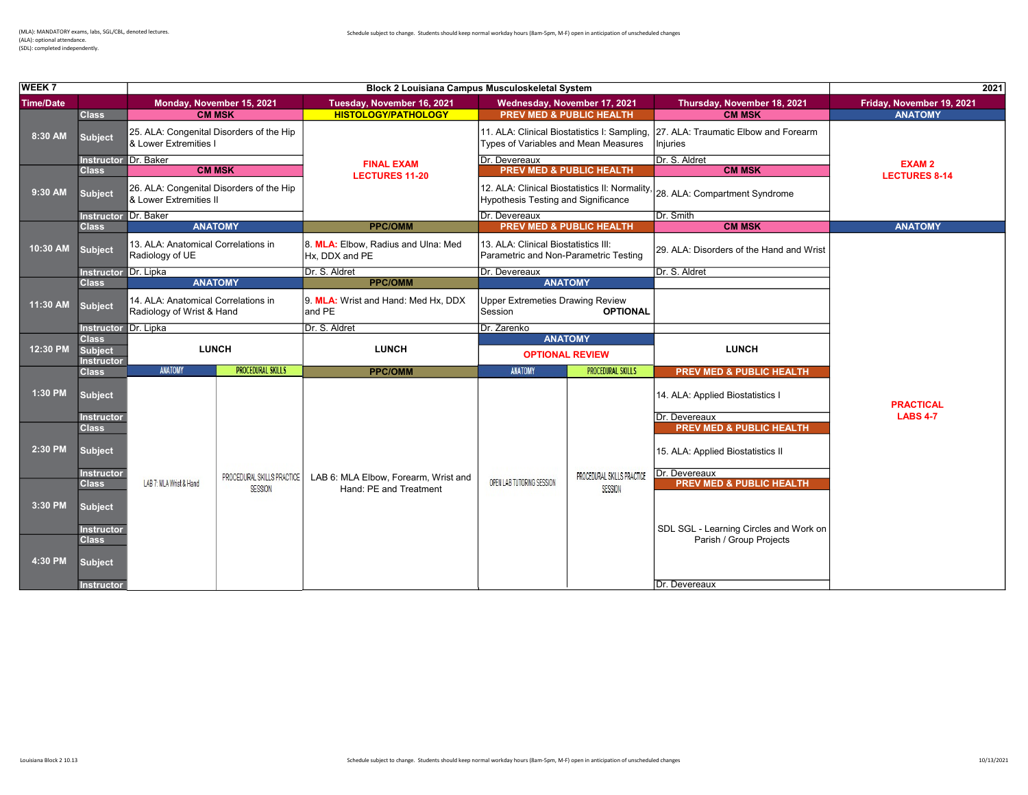| WEEK 7           |                                     |                                                                    |                                              |                                                                | <b>Block 2 Louisiana Campus Musculoskeletal System</b>                               |                                       | 2021                                                                         |                           |
|------------------|-------------------------------------|--------------------------------------------------------------------|----------------------------------------------|----------------------------------------------------------------|--------------------------------------------------------------------------------------|---------------------------------------|------------------------------------------------------------------------------|---------------------------|
| <b>Time/Date</b> |                                     |                                                                    | Monday, November 15, 2021                    | Tuesday, November 16, 2021                                     | Wednesday, November 17, 2021                                                         |                                       | Thursday, November 18, 2021                                                  | Friday, November 19, 2021 |
|                  | <b>Class</b>                        |                                                                    | <b>CM MSK</b>                                | <b>HISTOLOGY/PATHOLOGY</b>                                     | <b>PREV MED &amp; PUBLIC HEALTH</b>                                                  |                                       | <b>CM MSK</b>                                                                | <b>ANATOMY</b>            |
| 8:30 AM          | <b>Subject</b>                      | & Lower Extremities I                                              | 25. ALA: Congenital Disorders of the Hip     |                                                                | 11. ALA: Clinical Biostatistics I: Sampling,<br>Types of Variables and Mean Measures |                                       | 27. ALA: Traumatic Elbow and Forearm<br>Injuries                             |                           |
|                  | <b>Instructor Dr. Baker</b>         |                                                                    |                                              | <b>FINAL EXAM</b>                                              | Dr. Devereaux                                                                        |                                       | Dr. S. Aldret                                                                | <b>EXAM2</b>              |
|                  | <b>Class</b>                        |                                                                    | <b>CM MSK</b>                                | <b>LECTURES 11-20</b>                                          |                                                                                      | <b>PREV MED &amp; PUBLIC HEALTH</b>   | <b>CM MSK</b>                                                                | <b>LECTURES 8-14</b>      |
| 9:30 AM          | <b>Subject</b>                      | 26. ALA: Congenital Disorders of the Hip<br>& Lower Extremities II |                                              |                                                                | <b>Hypothesis Testing and Significance</b>                                           |                                       | 12. ALA: Clinical Biostatistics II: Normality, 28. ALA: Compartment Syndrome |                           |
|                  | <b>Instructor</b>                   | Dr. Baker                                                          |                                              |                                                                | Dr. Devereaux                                                                        |                                       | Dr. Smith                                                                    |                           |
|                  | <b>Class</b>                        |                                                                    | <b>ANATOMY</b>                               | <b>PPC/OMM</b>                                                 |                                                                                      | <b>PREV MED &amp; PUBLIC HEALTH</b>   | <b>CM MSK</b>                                                                | <b>ANATOMY</b>            |
| 10:30 AM         | <b>Subject</b>                      | 13. ALA: Anatomical Correlations in<br>Radiology of UE             |                                              | 8. MLA: Elbow, Radius and Ulna: Med<br>Hx, DDX and PE          | 13. ALA: Clinical Biostatistics III:<br>Parametric and Non-Parametric Testing        |                                       | 29. ALA: Disorders of the Hand and Wrist                                     |                           |
|                  | Instructor Dr. Lipka                |                                                                    |                                              | Dr. S. Aldret                                                  | Dr. Devereaux                                                                        |                                       | Dr. S. Aldret                                                                |                           |
|                  | <b>Class</b>                        |                                                                    | <b>ANATOMY</b>                               | <b>PPC/OMM</b>                                                 |                                                                                      | <b>ANATOMY</b>                        |                                                                              |                           |
| 11:30 AM         | <b>Subject</b>                      | 14. ALA: Anatomical Correlations in<br>Radiology of Wrist & Hand   |                                              | 9. MLA: Wrist and Hand: Med Hx, DDX<br>land PE                 | <b>Upper Extremeties Drawing Review</b><br>Session                                   | <b>OPTIONAL</b>                       |                                                                              |                           |
|                  |                                     | Instructor Dr. Lipka                                               |                                              | Dr. S. Aldret                                                  | Dr. Zarenko                                                                          |                                       |                                                                              |                           |
|                  | <b>Class</b>                        |                                                                    |                                              |                                                                | <b>ANATOMY</b>                                                                       |                                       |                                                                              |                           |
| 12:30 PM         | <b>Subject</b>                      |                                                                    | <b>LUNCH</b>                                 | <b>LUNCH</b>                                                   | <b>OPTIONAL REVIEW</b>                                                               |                                       | <b>LUNCH</b>                                                                 |                           |
|                  | <b>Instructor</b><br><b>Class</b>   | <b>ANATOMY</b>                                                     | <b>PROCEDURAL SKILLS</b>                     | <b>PPC/OMM</b>                                                 | ANATOMY                                                                              | <b>PROCEDURAL SKILLS</b>              |                                                                              |                           |
|                  |                                     |                                                                    |                                              |                                                                |                                                                                      |                                       | PREV MED & PUBLIC HEALTH                                                     |                           |
| 1:30 PM          | <b>Subject</b>                      |                                                                    |                                              |                                                                |                                                                                      |                                       | 14. ALA: Applied Biostatistics I                                             | <b>PRACTICAL</b>          |
|                  | <b>Instructor</b><br><b>Class</b>   |                                                                    |                                              |                                                                |                                                                                      |                                       | Dr. Devereaux<br><b>PREV MED &amp; PUBLIC HEALTH</b>                         | <b>LABS 4-7</b>           |
| 2:30 PM          | <b>Subject</b>                      |                                                                    |                                              |                                                                |                                                                                      |                                       | 15. ALA: Applied Biostatistics II                                            |                           |
|                  | <b>Instructor</b><br><b>Class</b>   | LAB 7: MLA Wrist & Hand                                            | PROCEDURAL SKILLS PRACTICE<br><b>SESSION</b> | LAB 6: MLA Elbow, Forearm, Wrist and<br>Hand: PE and Treatment | OPEN LAB TUTORING SESSION                                                            | PROCEDURAL SKILLS PRACTICE<br>SESSION | Dr. Devereaux<br><b>PREV MED &amp; PUBLIC HEALTH</b>                         |                           |
| 3:30 PM          | <b>Subject</b><br><b>Instructor</b> |                                                                    |                                              |                                                                |                                                                                      |                                       | SDL SGL - Learning Circles and Work on                                       |                           |
| 4:30 PM          | <b>Class</b><br><b>Subject</b>      |                                                                    |                                              |                                                                |                                                                                      |                                       | Parish / Group Projects                                                      |                           |

Instructor Dr. Devereaux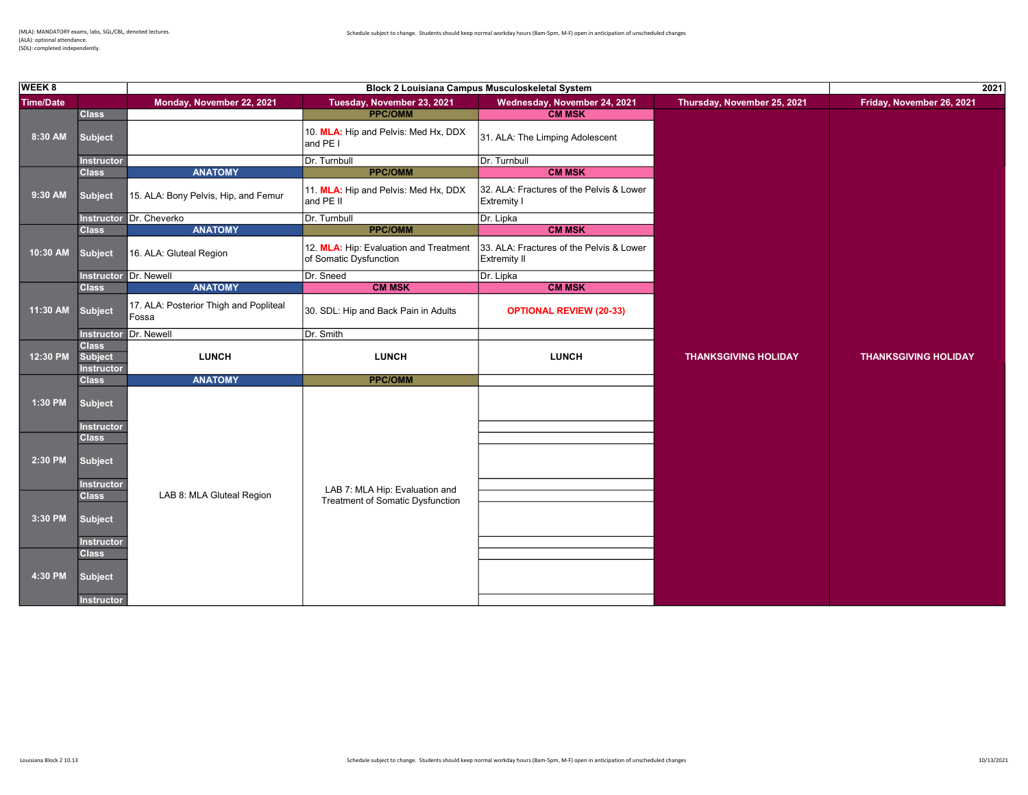| <b>WEEK 8</b>    |                                                     | Block 2 Louisiana Campus Musculoskeletal System |                                                                  |                                                                 |                             | 2021                        |  |
|------------------|-----------------------------------------------------|-------------------------------------------------|------------------------------------------------------------------|-----------------------------------------------------------------|-----------------------------|-----------------------------|--|
| <b>Time/Date</b> |                                                     | Monday, November 22, 2021                       | Tuesday, November 23, 2021                                       | Wednesday, November 24, 2021                                    | Thursday, November 25, 2021 | Friday, November 26, 2021   |  |
|                  | <b>Class</b>                                        |                                                 | <b>PPC/OMM</b>                                                   | <b>CM MSK</b>                                                   |                             |                             |  |
| 8:30 AM          | <b>Subject</b>                                      |                                                 | 10. MLA: Hip and Pelvis: Med Hx, DDX<br>and PE I                 | 31. ALA: The Limping Adolescent                                 |                             |                             |  |
|                  | <b>Instructor</b>                                   |                                                 | Dr. Turnbull                                                     | Dr. Turnbull                                                    |                             |                             |  |
|                  | <b>Class</b>                                        | <b>ANATOMY</b>                                  | <b>PPC/OMM</b>                                                   | <b>CM MSK</b>                                                   |                             |                             |  |
| 9:30 AM          | <b>Subject</b>                                      | 15. ALA: Bony Pelvis, Hip, and Femur            | 11. MLA: Hip and Pelvis: Med Hx, DDX<br>and PE II                | 32. ALA: Fractures of the Pelvis & Lower<br><b>Extremity I</b>  |                             |                             |  |
|                  |                                                     | Instructor Dr. Cheverko                         | Dr. Turnbull                                                     | Dr. Lipka                                                       |                             |                             |  |
|                  | <b>Class</b>                                        | <b>ANATOMY</b>                                  | <b>PPC/OMM</b>                                                   | <b>CM MSK</b>                                                   |                             |                             |  |
| 10:30 AM         | <b>Subject</b>                                      | 16. ALA: Gluteal Region                         | 12. MLA: Hip: Evaluation and Treatment<br>of Somatic Dysfunction | 33. ALA: Fractures of the Pelvis & Lower<br><b>Extremity II</b> |                             |                             |  |
|                  | Instructor Dr. Newell                               |                                                 | Dr. Sneed                                                        | Dr. Lipka                                                       |                             |                             |  |
|                  | <b>Class</b>                                        | <b>ANATOMY</b>                                  | <b>CM MSK</b>                                                    | <b>CM MSK</b>                                                   |                             |                             |  |
| 11:30 AM         | <b>Subject</b>                                      | 17. ALA: Posterior Thigh and Popliteal<br>Fossa | 30. SDL: Hip and Back Pain in Adults                             | <b>OPTIONAL REVIEW (20-33)</b>                                  |                             |                             |  |
|                  | Instructor Dr. Newell                               |                                                 | Dr. Smith                                                        |                                                                 |                             |                             |  |
| 12:30 PM         | <b>Class</b><br><b>Subject</b><br><b>Instructor</b> | <b>LUNCH</b>                                    | <b>LUNCH</b>                                                     | <b>LUNCH</b>                                                    | <b>THANKSGIVING HOLIDAY</b> | <b>THANKSGIVING HOLIDAY</b> |  |
|                  | <b>Class</b>                                        | <b>ANATOMY</b>                                  | <b>PPC/OMM</b>                                                   |                                                                 |                             |                             |  |
| 1:30 PM          | <b>Subject</b>                                      |                                                 |                                                                  |                                                                 |                             |                             |  |
|                  | <b>Instructor</b>                                   |                                                 |                                                                  |                                                                 |                             |                             |  |
| 2:30 PM          | <b>Class</b><br><b>Subject</b><br><b>Instructor</b> |                                                 | LAB 7: MLA Hip: Evaluation and                                   |                                                                 |                             |                             |  |
|                  | <b>Class</b>                                        | LAB 8: MLA Gluteal Region                       | Treatment of Somatic Dysfunction                                 |                                                                 |                             |                             |  |
| 3:30 PM          | <b>Subject</b>                                      |                                                 |                                                                  |                                                                 |                             |                             |  |
|                  | Instructor<br><b>Class</b>                          |                                                 |                                                                  |                                                                 |                             |                             |  |
| 4:30 PM          | <b>Subject</b>                                      |                                                 |                                                                  |                                                                 |                             |                             |  |
|                  | <b>Instructor</b>                                   |                                                 |                                                                  |                                                                 |                             |                             |  |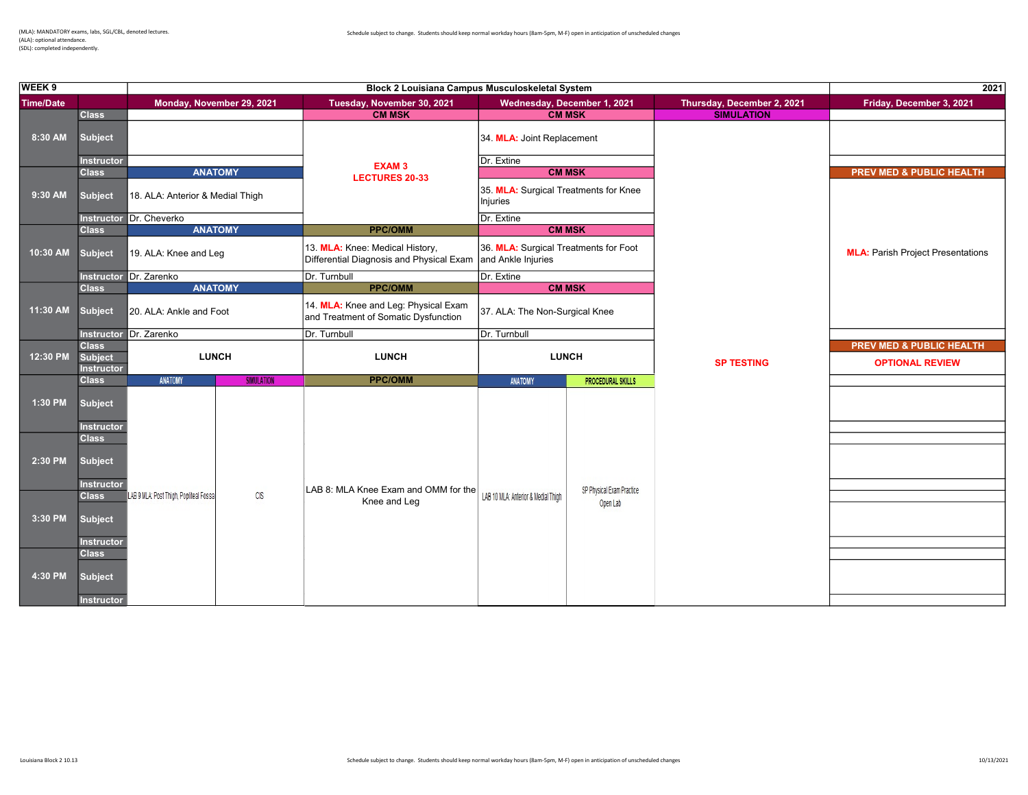(ALA): optional attendance. (SDL): completed independently.

| WEEK <sub>9</sub> |                                     |                                                      | 2021                                                                         |                                                                              |                            |                                          |
|-------------------|-------------------------------------|------------------------------------------------------|------------------------------------------------------------------------------|------------------------------------------------------------------------------|----------------------------|------------------------------------------|
| <b>Time/Date</b>  |                                     | Monday, November 29, 2021                            | Tuesday, November 30, 2021                                                   | Wednesday, December 1, 2021                                                  | Thursday, December 2, 2021 | Friday, December 3, 2021                 |
|                   | <b>Class</b>                        |                                                      | <b>CM MSK</b>                                                                | <b>CM MSK</b>                                                                | <b>SIMULATION</b>          |                                          |
| 8:30 AM           | <b>Subject</b>                      |                                                      |                                                                              | 34. MLA: Joint Replacement                                                   |                            |                                          |
|                   | <b>Instructor</b>                   |                                                      | <b>EXAM3</b>                                                                 | Dr. Extine                                                                   |                            |                                          |
|                   | <b>Class</b>                        | <b>ANATOMY</b>                                       | <b>LECTURES 20-33</b>                                                        | <b>CM MSK</b>                                                                |                            | <b>PREV MED &amp; PUBLIC HEALTH</b>      |
| 9:30 AM           | <b>Subject</b>                      | 18. ALA: Anterior & Medial Thigh                     |                                                                              | 35. MLA: Surgical Treatments for Knee<br>Injuries                            |                            |                                          |
|                   |                                     | Instructor Dr. Cheverko                              |                                                                              | Dr. Extine                                                                   |                            |                                          |
|                   | <b>Class</b>                        | <b>ANATOMY</b>                                       | <b>PPC/OMM</b>                                                               | <b>CM MSK</b>                                                                |                            |                                          |
| 10:30 AM          | <b>Subject</b>                      | 19. ALA: Knee and Leg                                | 13. MLA: Knee: Medical History,<br>Differential Diagnosis and Physical Exam  | 36. MLA: Surgical Treatments for Foot<br>and Ankle Injuries                  |                            | <b>MLA: Parish Project Presentations</b> |
|                   |                                     | Instructor Dr. Zarenko                               | Dr. Turnbull                                                                 | Dr. Extine                                                                   |                            |                                          |
|                   | <b>Class</b>                        | <b>ANATOMY</b>                                       | <b>PPC/OMM</b>                                                               | <b>CM MSK</b>                                                                |                            |                                          |
| 11:30 AM          | <b>Subject</b>                      | 20. ALA: Ankle and Foot                              | 14. MLA: Knee and Leg: Physical Exam<br>and Treatment of Somatic Dysfunction | 37. ALA: The Non-Surgical Knee                                               |                            |                                          |
|                   |                                     | Instructor Dr. Zarenko                               | Dr. Turnbull                                                                 | Dr. Turnbull                                                                 |                            |                                          |
|                   | <b>Class</b>                        |                                                      |                                                                              |                                                                              |                            | <b>PREV MED &amp; PUBLIC HEALTH</b>      |
| 12:30 PM          | <b>Subject</b><br><b>Instructor</b> | <b>LUNCH</b>                                         | <b>LUNCH</b>                                                                 | <b>LUNCH</b>                                                                 | <b>SP TESTING</b>          | <b>OPTIONAL REVIEW</b>                   |
|                   | <b>Class</b>                        | <b>ANATOMY</b><br><b>SIMULATION</b>                  | <b>PPC/OMM</b>                                                               | <b>PROCEDURAL SKILLS</b><br><b>ANATOMY</b>                                   |                            |                                          |
| 1:30 PM           | <b>Subject</b>                      |                                                      |                                                                              |                                                                              |                            |                                          |
|                   | Instructor<br><b>Class</b>          |                                                      |                                                                              |                                                                              |                            |                                          |
| 2:30 PM           | <b>Subject</b>                      |                                                      |                                                                              |                                                                              |                            |                                          |
|                   | <b>Instructor</b>                   |                                                      |                                                                              |                                                                              |                            |                                          |
|                   | <b>Class</b>                        | LAB 9 MLA: Post Thigh, Popliteal Fossa<br><b>CIS</b> | LAB 8: MLA Knee Exam and OMM for the<br>Knee and Leg                         | SP Physical Exam Practice<br>LAB 10 MLA: Anterior & Medial Thigh<br>Open Lab |                            |                                          |
| 3:30 PM           | <b>Subject</b>                      |                                                      |                                                                              |                                                                              |                            |                                          |
|                   |                                     |                                                      |                                                                              |                                                                              |                            |                                          |
|                   | <b>Instructor</b>                   |                                                      |                                                                              |                                                                              |                            |                                          |
|                   | <b>Class</b>                        |                                                      |                                                                              |                                                                              |                            |                                          |
| 4:30 PM           | <b>Subject</b>                      |                                                      |                                                                              |                                                                              |                            |                                          |
|                   | <b>Instructor</b>                   |                                                      |                                                                              |                                                                              |                            |                                          |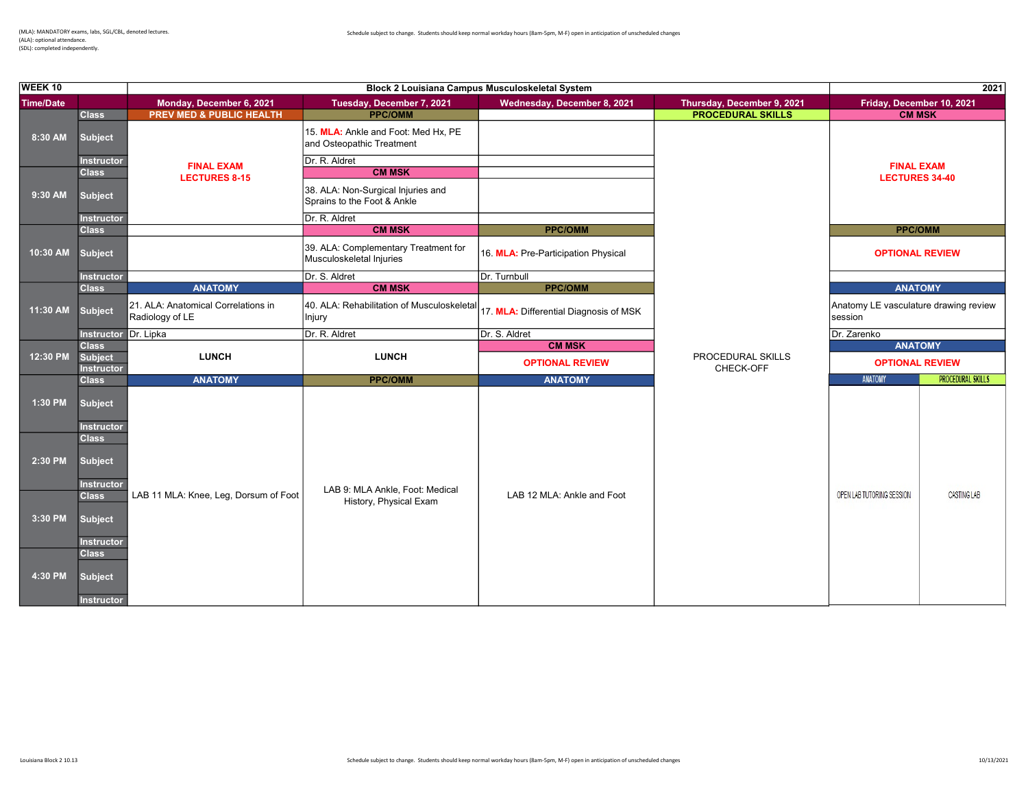(ALA): optional attendance. (SDL): completed independently.

| WEEK <sub>10</sub> |                                                     |                                                        |                                                                   | 2021                                   |                                |                                                  |                          |
|--------------------|-----------------------------------------------------|--------------------------------------------------------|-------------------------------------------------------------------|----------------------------------------|--------------------------------|--------------------------------------------------|--------------------------|
| <b>Time/Date</b>   |                                                     | Monday, December 6, 2021                               | Tuesday, December 7, 2021                                         | Wednesday, December 8, 2021            | Thursday, December 9, 2021     | Friday, December 10, 2021                        |                          |
|                    | <b>Class</b>                                        | <b>PREV MED &amp; PUBLIC HEALTH</b>                    | <b>PPC/OMM</b>                                                    |                                        | <b>PROCEDURAL SKILLS</b>       | <b>CM MSK</b>                                    |                          |
| 8:30 AM            | <b>Subject</b>                                      |                                                        | 15. MLA: Ankle and Foot: Med Hx, PE<br>and Osteopathic Treatment  |                                        |                                |                                                  |                          |
|                    | <b>Instructor</b>                                   | <b>FINAL EXAM</b>                                      | Dr. R. Aldret                                                     |                                        |                                | <b>FINAL EXAM</b>                                |                          |
|                    | <b>Class</b>                                        | <b>LECTURES 8-15</b>                                   | <b>CM MSK</b>                                                     |                                        |                                | <b>LECTURES 34-40</b>                            |                          |
| 9:30 AM            | <b>Subject</b>                                      |                                                        | 38. ALA: Non-Surgical Injuries and<br>Sprains to the Foot & Ankle |                                        |                                |                                                  |                          |
|                    | <b>Instructor</b>                                   |                                                        | Dr. R. Aldret                                                     |                                        |                                |                                                  |                          |
|                    | <b>Class</b>                                        |                                                        | <b>CM MSK</b>                                                     | <b>PPC/OMM</b>                         |                                | <b>PPC/OMM</b>                                   |                          |
| 10:30 AM           | <b>Subject</b>                                      |                                                        | 39. ALA: Complementary Treatment for<br>Musculoskeletal Injuries  | 16. MLA: Pre-Participation Physical    |                                | <b>OPTIONAL REVIEW</b>                           |                          |
|                    | <b>Instructor</b>                                   |                                                        | Dr. S. Aldret                                                     | Dr. Turnbull                           |                                |                                                  |                          |
|                    | <b>Class</b>                                        | <b>ANATOMY</b>                                         | <b>CM MSK</b>                                                     | <b>PPC/OMM</b>                         |                                | <b>ANATOMY</b>                                   |                          |
| 11:30 AM           | <b>Subject</b>                                      | 21. ALA: Anatomical Correlations in<br>Radiology of LE | 40. ALA: Rehabilitation of Musculoskeletal<br>Injury              | 17. MLA: Differential Diagnosis of MSK |                                | Anatomy LE vasculature drawing review<br>session |                          |
|                    | Instructor Dr. Lipka                                |                                                        | Dr. R. Aldret                                                     | Dr. S. Aldret                          |                                | Dr. Zarenko                                      |                          |
|                    | <b>Class</b>                                        |                                                        |                                                                   | <b>CM MSK</b>                          |                                | <b>ANATOMY</b>                                   |                          |
| 12:30 PM           | <b>Subject</b><br><b>Instructor</b>                 | <b>LUNCH</b>                                           | <b>LUNCH</b>                                                      | <b>OPTIONAL REVIEW</b>                 | PROCEDURAL SKILLS<br>CHECK-OFF | <b>OPTIONAL REVIEW</b>                           |                          |
|                    | <b>Class</b>                                        | <b>ANATOMY</b>                                         | <b>PPC/OMM</b>                                                    | <b>ANATOMY</b>                         |                                | ANATOMY                                          | <b>PROCEDURAL SKILLS</b> |
| 1:30 PM            | <b>Subject</b>                                      |                                                        |                                                                   |                                        |                                |                                                  |                          |
| 2:30 PM            | <b>Instructor</b><br><b>Class</b><br><b>Subject</b> |                                                        |                                                                   |                                        |                                |                                                  |                          |
|                    | <b>Instructor</b><br><b>Class</b>                   | LAB 11 MLA: Knee, Leg, Dorsum of Foot                  | LAB 9: MLA Ankle, Foot: Medical<br>History, Physical Exam         | LAB 12 MLA: Ankle and Foot             |                                | OPEN LAB TUTORING SESSION                        | CASTING LAB              |
| 3:30 PM            | <b>Subject</b><br><b>Instructor</b>                 |                                                        |                                                                   |                                        |                                |                                                  |                          |
| 4:30 PM            | <b>Class</b><br><b>Subject</b><br><b>Instructor</b> |                                                        |                                                                   |                                        |                                |                                                  |                          |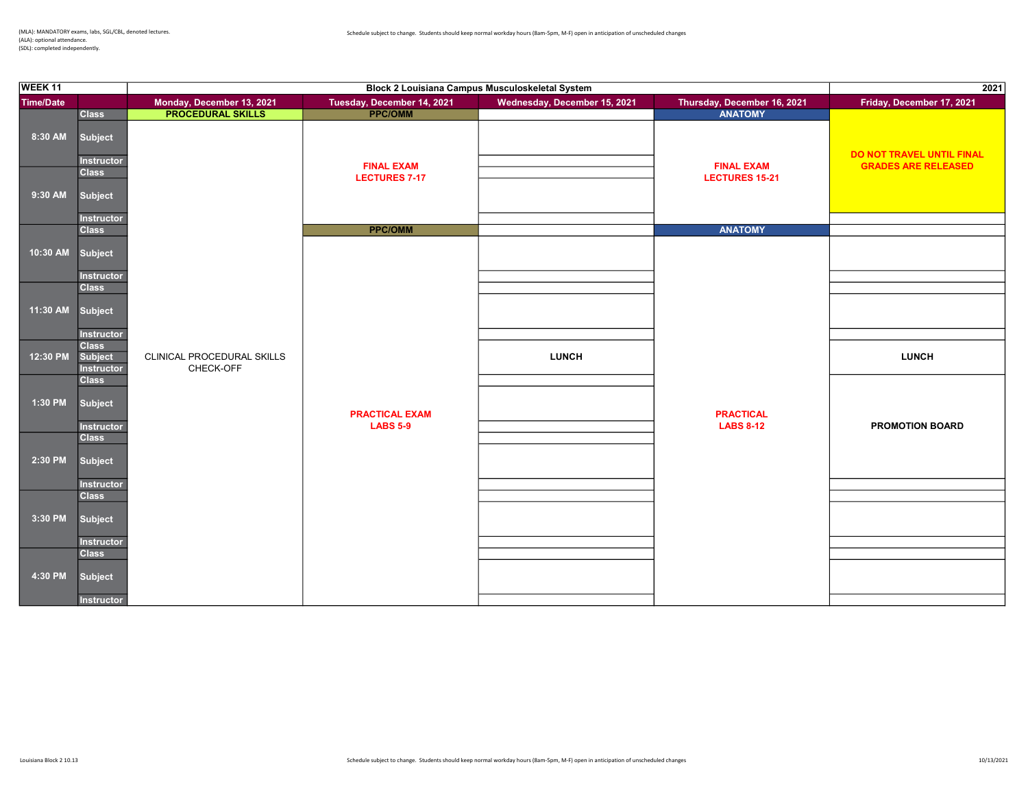| WEEK 11          |                                                              | Block 2 Louisiana Campus Musculoskeletal System |                                          |                              | 2021                                 |                                                         |
|------------------|--------------------------------------------------------------|-------------------------------------------------|------------------------------------------|------------------------------|--------------------------------------|---------------------------------------------------------|
| <b>Time/Date</b> |                                                              | Monday, December 13, 2021<br>PROCEDURAL SKILLS  | Tuesday, December 14, 2021               | Wednesday, December 15, 2021 | Thursday, December 16, 2021          | Friday, December 17, 2021                               |
|                  | <b>Class</b>                                                 |                                                 |                                          |                              | <b>ANATOMY</b>                       |                                                         |
| 8:30 AM          | Subject<br>Instructor<br><b>Class</b>                        |                                                 | <b>FINAL EXAM</b>                        |                              | <b>FINAL EXAM</b>                    | DO NOT TRAVEL UNTIL FINAL<br><b>GRADES ARE RELEASED</b> |
| 9:30 AM          | Subject<br><b>Instructor</b>                                 |                                                 | <b>LECTURES 7-17</b>                     |                              | <b>LECTURES 15-21</b>                |                                                         |
|                  | <b>Class</b>                                                 |                                                 | <b>PPC/OMM</b>                           |                              | <b>ANATOMY</b>                       |                                                         |
| 10:30 AM         | Subject<br>Instructor<br><b>Class</b>                        |                                                 |                                          |                              |                                      |                                                         |
| 11:30 AM         | Subject<br><b>Instructor</b>                                 |                                                 |                                          |                              |                                      |                                                         |
| 12:30 PM         | <b>Class</b><br>Subject<br>Instructor                        | CLINICAL PROCEDURAL SKILLS<br>CHECK-OFF         |                                          | <b>LUNCH</b>                 |                                      | <b>LUNCH</b>                                            |
| 1:30 PM          | <b>Class</b><br>Subject<br><b>Instructor</b><br><b>Class</b> |                                                 | <b>PRACTICAL EXAM</b><br><b>LABS 5-9</b> |                              | <b>PRACTICAL</b><br><b>LABS 8-12</b> | <b>PROMOTION BOARD</b>                                  |
| 2:30 PM          | <b>Subject</b><br>Instructor                                 |                                                 |                                          |                              |                                      |                                                         |
| 3:30 PM          | <b>Class</b><br>Subject                                      |                                                 |                                          |                              |                                      |                                                         |
| 4:30 PM          | Instructor<br><b>Class</b><br>Subject                        |                                                 |                                          |                              |                                      |                                                         |
|                  | Instructor                                                   |                                                 |                                          |                              |                                      |                                                         |